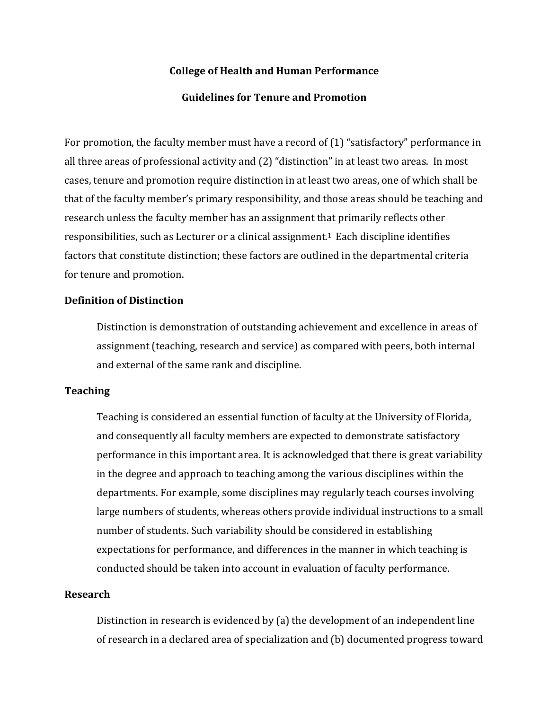### **College of Health and Human Performance**

### **Guidelines for Tenure and Promotion**

For promotion, the faculty member must have a record of (1) "satisfactory" performance in all three areas of professional activity and (2) "distinction" in at least two areas. In most cases, tenure and promotion require distinction in at least two areas, one of which shall be that of the faculty member's primary responsibility, and those areas should be teaching and research unless the faculty member has an assignment that primarily reflects other responsibilities, such as Lecturer or a clinical assignment.1 Each discipline identifies factors that constitute distinction; these factors are outlined in the departmental criteria for tenure and promotion.

## **Definition of Distinction**

Distinction is demonstration of outstanding achievement and excellence in areas of assignment (teaching, research and service) as compared with peers, both internal and external of the same rank and discipline.

### **Teaching**

Teaching is considered an essential function of faculty at the University of Florida, and consequently all faculty members are expected to demonstrate satisfactory performance in this important area. It is acknowledged that there is great variability in the degree and approach to teaching among the various disciplines within the departments. For example, some disciplines may regularly teach courses involving large numbers of students, whereas others provide individual instructions to a small number of students. Such variability should be considered in establishing expectations for performance, and differences in the manner in which teaching is conducted should be taken into account in evaluation of faculty performance.

#### **Research**

Distinction in research is evidenced by (a) the development of an independent line of research in a declared area of specialization and (b) documented progress toward